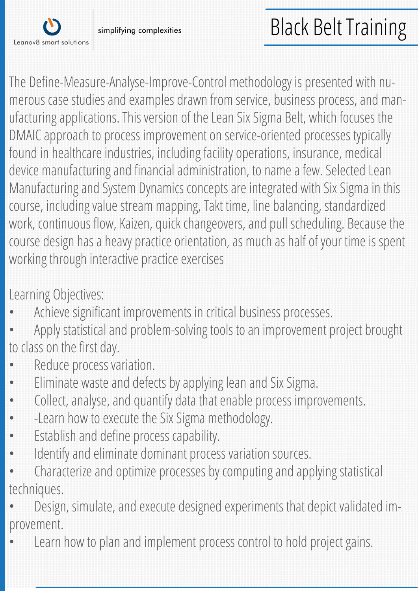

simplifying complexities

## Black Belt Training

The Define-Measure-Analyse-Improve-Control methodology is presented with numerous case studies and examples drawn from service, business process, and manufacturing applications. This version of the Lean Six Sigma Belt, which focuses the DMAIC approach to process improvement on service-oriented processes typically found in healthcare industries, including facility operations, insurance, medical device manufacturing and financial administration, to name a few. Selected Lean Manufacturing and System Dynamics concepts are integrated with Six Sigma in this course, including value stream mapping, Takt time, line balancing, standardized work, continuous flow, Kaizen, quick changeovers, and pull scheduling. Because the course design has a heavy practice orientation, as much as half of your time is spent working through interactive practice exercises

Learning Objectives:

- Achieve significant improvements in critical business processes.
- Apply statistical and problem-solving tools to an improvement project brought to class on the first day.
- Reduce process variation.
- Eliminate waste and defects by applying lean and Six Sigma.
- Collect, analyse, and quantify data that enable process improvements.
- -Learn how to execute the Six Sigma methodology.
- Establish and define process capability.
- Identify and eliminate dominant process variation sources.
- Characterize and optimize processes by computing and applying statistical techniques.
- Design, simulate, and execute designed experiments that depict validated improvement.
- Learn how to plan and implement process control to hold project gains.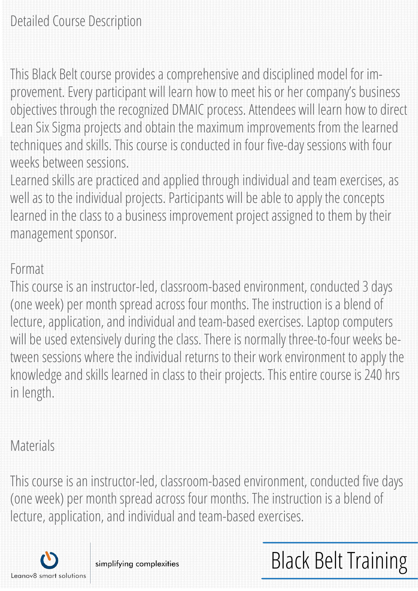This Black Belt course provides a comprehensive and disciplined model for improvement. Every participant will learn how to meet his or her company's business objectives through the recognized DMAIC process. Attendees will learn how to direct Lean Six Sigma projects and obtain the maximum improvements from the learned techniques and skills. This course is conducted in four five-day sessions with four weeks between sessions.

Learned skills are practiced and applied through individual and team exercises, as well as to the individual projects. Participants will be able to apply the concepts learned in the class to a business improvement project assigned to them by their management sponsor.

## Format

This course is an instructor-led, classroom-based environment, conducted 3 days (one week) per month spread across four months. The instruction is a blend of lecture, application, and individual and team-based exercises. Laptop computers will be used extensively during the class. There is normally three-to-four weeks between sessions where the individual returns to their work environment to apply the knowledge and skills learned in class to their projects. This entire course is 240 hrs in length.

## Materials

This course is an instructor-led, classroom-based environment, conducted five days (one week) per month spread across four months. The instruction is a blend of lecture, application, and individual and team-based exercises.

Black Belt Training